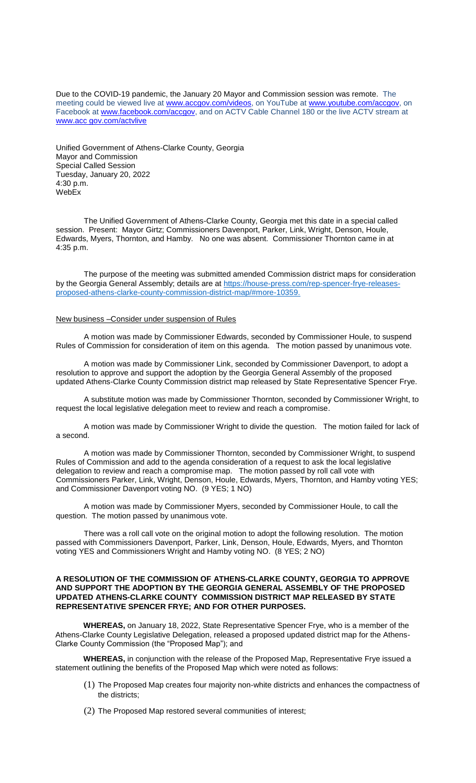Due to the COVID-19 pandemic, the January 20 Mayor and Commission session was remote. The meeting could be viewed live at [www.accgov.com/videos,](http://www.accgov.com/videos) on YouTube at [www.youtube.com/accgov,](http://www.youtube.com/accgov) on Facebook at [www.facebook.com/accgov,](http://www.facebook.com/accgov) and on ACTV Cable Channel 180 or the live ACTV stream at www.acc gov.com/actvlive

Unified Government of Athens-Clarke County, Georgia Mayor and Commission Special Called Session Tuesday, January 20, 2022 4:30 p.m. WebEx

The Unified Government of Athens-Clarke County, Georgia met this date in a special called session. Present: Mayor Girtz; Commissioners Davenport, Parker, Link, Wright, Denson, Houle, Edwards, Myers, Thornton, and Hamby. No one was absent. Commissioner Thornton came in at 4:35 p.m.

The purpose of the meeting was submitted amended Commission district maps for consideration by the Georgia General Assembly; details are at [https://house-press.com/rep-spencer-frye-releases](https://house-press.com/rep-spencer-frye-releases-proposed-athens-clarke-county-commission-district-map/#more-10359)[proposed-athens-clarke-county-commission-district-map/#more-10359.](https://house-press.com/rep-spencer-frye-releases-proposed-athens-clarke-county-commission-district-map/#more-10359)

## New business –Consider under suspension of Rules

A motion was made by Commissioner Edwards, seconded by Commissioner Houle, to suspend Rules of Commission for consideration of item on this agenda. The motion passed by unanimous vote.

A motion was made by Commissioner Link, seconded by Commissioner Davenport, to adopt a resolution to approve and support the adoption by the Georgia General Assembly of the proposed updated Athens-Clarke County Commission district map released by State Representative Spencer Frye.

A substitute motion was made by Commissioner Thornton, seconded by Commissioner Wright, to request the local legislative delegation meet to review and reach a compromise.

A motion was made by Commissioner Wright to divide the question. The motion failed for lack of a second.

A motion was made by Commissioner Thornton, seconded by Commissioner Wright, to suspend Rules of Commission and add to the agenda consideration of a request to ask the local legislative delegation to review and reach a compromise map. The motion passed by roll call vote with Commissioners Parker, Link, Wright, Denson, Houle, Edwards, Myers, Thornton, and Hamby voting YES; and Commissioner Davenport voting NO. (9 YES; 1 NO)

A motion was made by Commissioner Myers, seconded by Commissioner Houle, to call the question. The motion passed by unanimous vote.

There was a roll call vote on the original motion to adopt the following resolution. The motion passed with Commissioners Davenport, Parker, Link, Denson, Houle, Edwards, Myers, and Thornton voting YES and Commissioners Wright and Hamby voting NO. (8 YES; 2 NO)

## **A RESOLUTION OF THE COMMISSION OF ATHENS-CLARKE COUNTY, GEORGIA TO APPROVE AND SUPPORT THE ADOPTION BY THE GEORGIA GENERAL ASSEMBLY OF THE PROPOSED UPDATED ATHENS-CLARKE COUNTY COMMISSION DISTRICT MAP RELEASED BY STATE REPRESENTATIVE SPENCER FRYE; AND FOR OTHER PURPOSES.**

**WHEREAS,** on January 18, 2022, State Representative Spencer Frye, who is a member of the Athens-Clarke County Legislative Delegation, released a proposed updated district map for the Athens-Clarke County Commission (the "Proposed Map"); and

**WHEREAS,** in conjunction with the release of the Proposed Map, Representative Frye issued a statement outlining the benefits of the Proposed Map which were noted as follows:

- (1) The Proposed Map creates four majority non-white districts and enhances the compactness of the districts;
- (2) The Proposed Map restored several communities of interest;